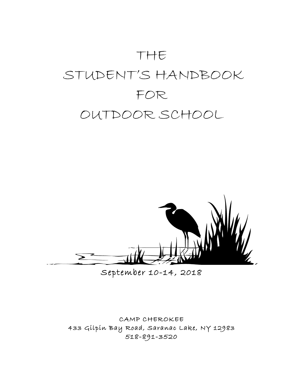# THE STUDENT'S HANDBOOK FOR OUTDOOR SCHOOL



September 10-14, 2018

CAMP CHEROKEE 433 Gilpin Bay Road, Saranac Lake, NY 12983 518-891-3520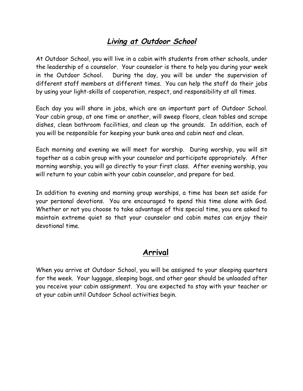## **Living at Outdoor School**

At Outdoor School, you will live in a cabin with students from other schools, under the leadership of a counselor. Your counselor is there to help you during your week in the Outdoor School. During the day, you will be under the supervision of different staff members at different times. You can help the staff do their jobs by using your light-skills of cooperation, respect, and responsibility at all times.

Each day you will share in jobs, which are an important part of Outdoor School. Your cabin group, at one time or another, will sweep floors, clean tables and scrape dishes, clean bathroom facilities, and clean up the grounds. In addition, each of you will be responsible for keeping your bunk area and cabin neat and clean.

Each morning and evening we will meet for worship. During worship, you will sit together as a cabin group with your counselor and participate appropriately. After morning worship, you will go directly to your first class. After evening worship, you will return to your cabin with your cabin counselor, and prepare for bed.

In addition to evening and morning group worships, a time has been set aside for your personal devotions. You are encouraged to spend this time alone with God. Whether or not you choose to take advantage of this special time, you are asked to maintain extreme quiet so that your counselor and cabin mates can enjoy their devotional time.

### **Arrival**

When you arrive at Outdoor School, you will be assigned to your sleeping quarters for the week. Your luggage, sleeping bags, and other gear should be unloaded after you receive your cabin assignment. You are expected to stay with your teacher or at your cabin until Outdoor School activities begin.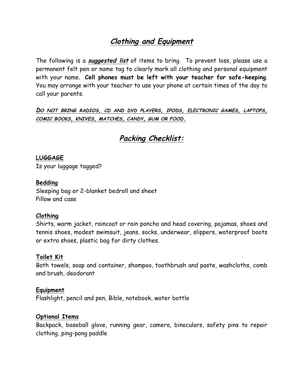## **Clothing and Equipment**

The following is a **suggested list** of items to bring. To prevent loss, please use a permanent felt pen or name tag to clearly mark all clothing and personal equipment with your name. **Cell phones must be left with your teacher for safe-keeping**. You may arrange with your teacher to use your phone at certain times of the day to call your parents.

**DO NOT BRING RADIOS, CD AND DVD PLAYERS, IPODS, ELECTRONIC GAMES, LAPTOPS, COMIC BOOKS, KNIVES, MATCHES, CANDY, GUM OR FOOD.**

## **Packing Checklist:**

#### **LUGGAGE**

Is your luggage tagged?

#### **Bedding**

Sleeping bag or 2-blanket bedroll and sheet Pillow and case

#### **Clothing**

Shirts, warm jacket, raincoat or rain poncho and head covering, pajamas, shoes and tennis shoes, modest swimsuit, jeans, socks, underwear, slippers, waterproof boots or extra shoes, plastic bag for dirty clothes.

#### **Toilet Kit**

Bath towels, soap and container, shampoo, toothbrush and paste, washcloths, comb and brush, deodorant

#### **Equipment**

Flashlight, pencil and pen, Bible, notebook, water bottle

#### **Optional Items**

Backpack, baseball glove, running gear, camera, binoculars, safety pins to repair clothing, ping-pong paddle